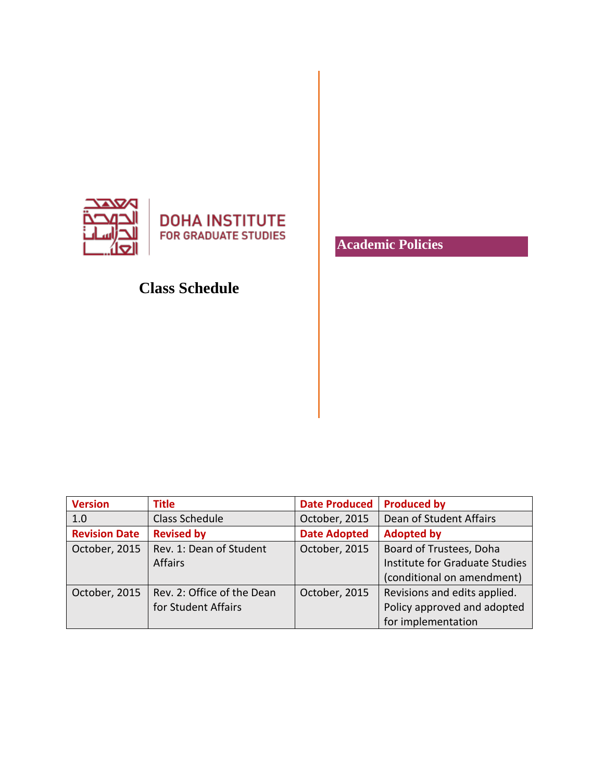

**DOHA INSTITUTE FOR GRADUATE STUDIES** 

# **Class Schedule**

**Academic Policies**

| <b>Version</b>       | <b>Title</b>               | <b>Date Produced</b> | <b>Produced by</b>             |
|----------------------|----------------------------|----------------------|--------------------------------|
| 1.0                  | Class Schedule             | October, 2015        | Dean of Student Affairs        |
| <b>Revision Date</b> | <b>Revised by</b>          | <b>Date Adopted</b>  | <b>Adopted by</b>              |
| October, 2015        | Rev. 1: Dean of Student    | October, 2015        | Board of Trustees, Doha        |
|                      | <b>Affairs</b>             |                      | Institute for Graduate Studies |
|                      |                            |                      | (conditional on amendment)     |
| October, 2015        | Rev. 2: Office of the Dean | October, 2015        | Revisions and edits applied.   |
|                      | for Student Affairs        |                      | Policy approved and adopted    |
|                      |                            |                      | for implementation             |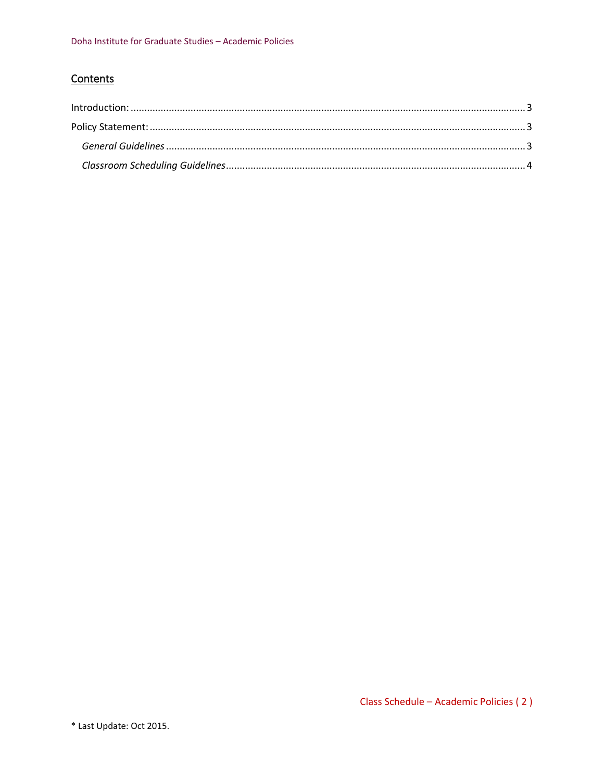# Contents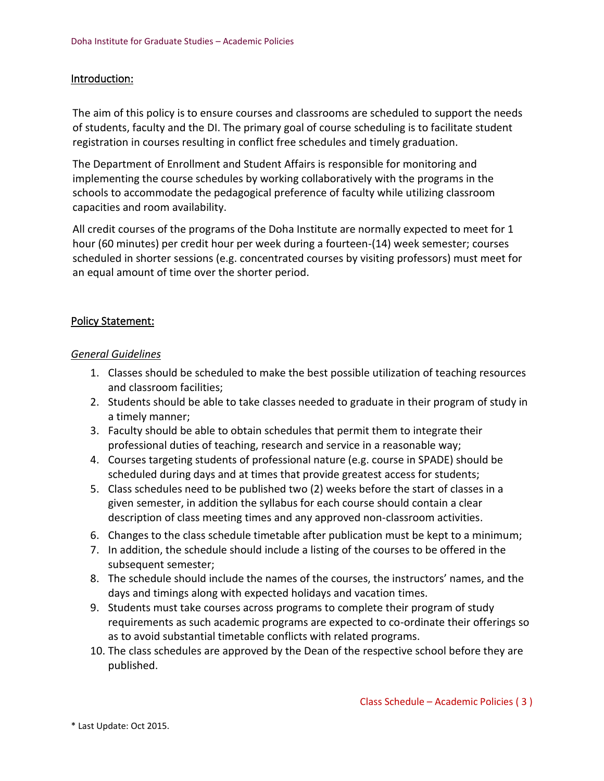## <span id="page-2-0"></span>Introduction:

The aim of this policy is to ensure courses and classrooms are scheduled to support the needs of students, faculty and the DI. The primary goal of course scheduling is to facilitate student registration in courses resulting in conflict free schedules and timely graduation.

The Department of Enrollment and Student Affairs is responsible for monitoring and implementing the course schedules by working collaboratively with the programs in the schools to accommodate the pedagogical preference of faculty while utilizing classroom capacities and room availability.

All credit courses of the programs of the Doha Institute are normally expected to meet for 1 hour (60 minutes) per credit hour per week during a fourteen-(14) week semester; courses scheduled in shorter sessions (e.g. concentrated courses by visiting professors) must meet for an equal amount of time over the shorter period.

## <span id="page-2-1"></span>Policy Statement:

#### <span id="page-2-2"></span>*General Guidelines*

- 1. Classes should be scheduled to make the best possible utilization of teaching resources and classroom facilities;
- 2. Students should be able to take classes needed to graduate in their program of study in a timely manner;
- 3. Faculty should be able to obtain schedules that permit them to integrate their professional duties of teaching, research and service in a reasonable way;
- 4. Courses targeting students of professional nature (e.g. course in SPADE) should be scheduled during days and at times that provide greatest access for students;
- 5. Class schedules need to be published two (2) weeks before the start of classes in a given semester, in addition the syllabus for each course should contain a clear description of class meeting times and any approved non-classroom activities.
- 6. Changes to the class schedule timetable after publication must be kept to a minimum;
- 7. In addition, the schedule should include a listing of the courses to be offered in the subsequent semester;
- 8. The schedule should include the names of the courses, the instructors' names, and the days and timings along with expected holidays and vacation times.
- 9. Students must take courses across programs to complete their program of study requirements as such academic programs are expected to co-ordinate their offerings so as to avoid substantial timetable conflicts with related programs.
- 10. The class schedules are approved by the Dean of the respective school before they are published.